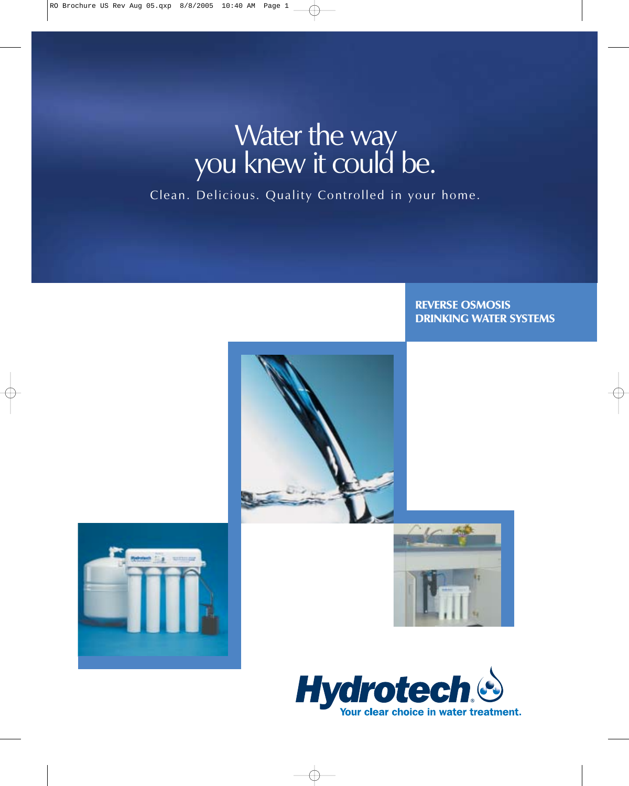# Water the way<br>you knew it could be.

Clean. Delicious. Quality Controlled in your home.

### REVERSE OSMOSIS DRINKING WATER SYSTEMS







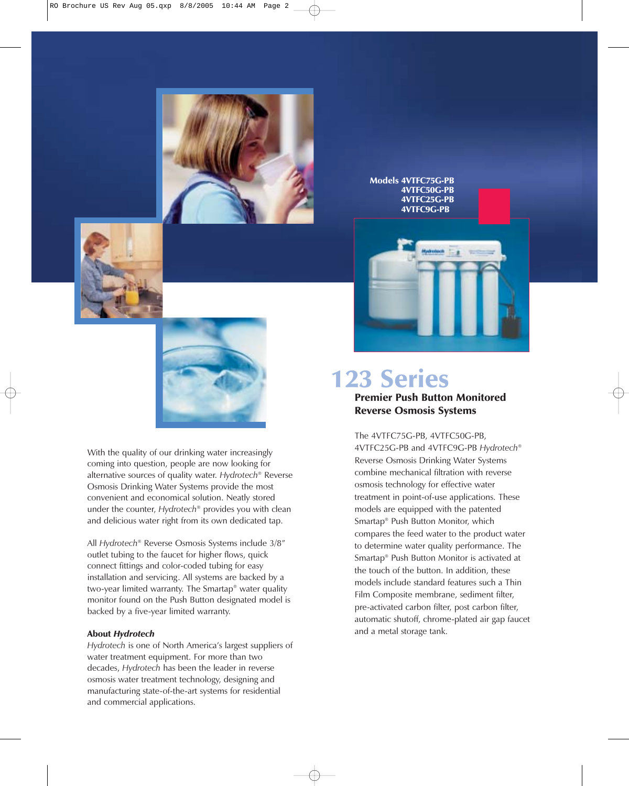

Models 4VTFC75G-PB 4VTFC50G-PB 4VTFC25G-PB 4VTFC9G-PB

 $A = 1$ 





With the quality of our drinking water increasingly coming into question, people are now looking for alternative sources of quality water. Hydrotech® Reverse Osmosis Drinking Water Systems provide the most convenient and economical solution. Neatly stored under the counter, Hydrotech<sup>®</sup> provides you with clean and delicious water right from its own dedicated tap.

All Hydrotech® Reverse Osmosis Systems include 3/8" outlet tubing to the faucet for higher flows, quick connect fittings and color-coded tubing for easy installation and servicing. All systems are backed by a two-year limited warranty. The Smartap® water quality monitor found on the Push Button designated model is backed by a five-year limited warranty.

#### About Hydrotech

Hydrotech is one of North America's largest suppliers of water treatment equipment. For more than two decades, Hydrotech has been the leader in reverse osmosis water treatment technology, designing and manufacturing state-of-the-art systems for residential and commercial applications.

## Premier Push Button Monitored Reverse Osmosis Systems 123 Series

The 4VTFC75G-PB, 4VTFC50G-PB, 4VTFC25G-PB and 4VTFC9G-PB Hydrotech® Reverse Osmosis Drinking Water Systems combine mechanical filtration with reverse osmosis technology for effective water treatment in point-of-use applications. These models are equipped with the patented Smartap® Push Button Monitor, which compares the feed water to the product water to determine water quality performance. The Smartap® Push Button Monitor is activated at the touch of the button. In addition, these models include standard features such a Thin Film Composite membrane, sediment filter, pre-activated carbon filter, post carbon filter, automatic shutoff, chrome-plated air gap faucet and a metal storage tank.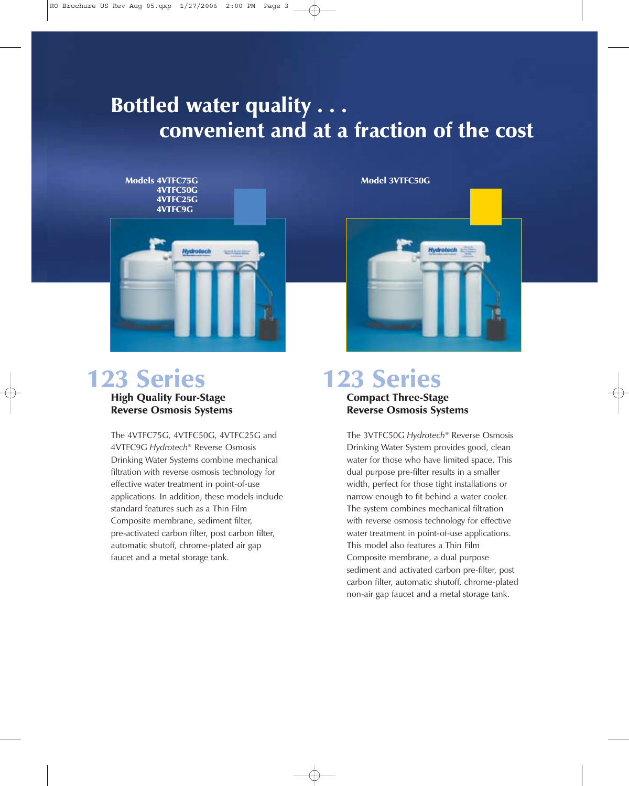# Bottled water quality . . . convenient and at a fraction of the cost



## High Quality Four-Stage 123 Series 123 Series

Reverse Osmosis Systems

The 4VTFC75G, 4VTFC50G, 4VTFC25G and 4VTFC9G *Hydrotech*® Reverse Osmosis Drinking Water Systems combine mechanical filtration with reverse osmosis technology for effective water treatment in point-of-use applications. In addition, these models include standard features such as a Thin Film Composite membrane, sediment filter, pre-activated carbon filter, post carbon filter, automatic shutoff, chrome-plated air gap faucet and a metal storage tank.

Model 3VTFC50G



## Compact Three-Stage Reverse Osmosis Systems

The 3VTFC50G *Hydrotech*® Reverse Osmosis Drinking Water System provides good, clean water for those who have limited space. This dual purpose pre-filter results in a smaller width, perfect for those tight installations or narrow enough to fit behind a water cooler. The system combines mechanical filtration with reverse osmosis technology for effective water treatment in point-of-use applications. This model also features a Thin Film Composite membrane, a dual purpose sediment and activated carbon pre-filter, post carbon filter, automatic shutoff, chrome-plated non-air gap faucet and a metal storage tank.